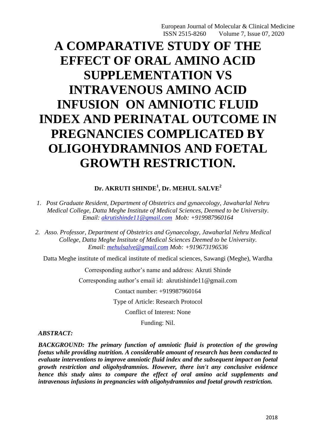# **A COMPARATIVE STUDY OF THE EFFECT OF ORAL AMINO ACID SUPPLEMENTATION VS INTRAVENOUS AMINO ACID INFUSION ON AMNIOTIC FLUID INDEX AND PERINATAL OUTCOME IN PREGNANCIES COMPLICATED BY OLIGOHYDRAMNIOS AND FOETAL GROWTH RESTRICTION.**

## **Dr. AKRUTI SHINDE<sup>1</sup> , Dr. MEHUL SALVE<sup>2</sup>**

- *1. Post Graduate Resident, Department of Obstetrics and gynaecology, Jawaharlal Nehru Medical College, Datta Meghe Institute of Medical Sciences, Deemed to be University. Email: [akrutishinde11@gmail.com](mailto:akrutishinde11@gmail.com) Mob: +919987960164*
- *2. Asso. Professor, Department of Obstetrics and Gynaecology, Jawaharlal Nehru Medical College, Datta Meghe Institute of Medical Sciences Deemed to be University. Email: [mehulsalve@gmail.com](mailto:mehulsalve@gmail.com) Mob: +919673196536*

Datta Meghe institute of medical institute of medical sciences, Sawangi (Meghe), Wardha

Corresponding author's name and address: Akruti Shinde

Corresponding author's email id: akrutishinde11@gmail.com

Contact number: +919987960164

Type of Article: Research Protocol

Conflict of Interest: None

Funding: Nil.

#### *ABSTRACT:*

*BACKGROUND: The primary function of amniotic fluid is protection of the growing foetus while providing nutrition. A considerable amount of research has been conducted to evaluate interventions to improve amniotic fluid index and the subsequent impact on foetal growth restriction and oligohydramnios. However, there isn't any conclusive evidence hence this study aims to compare the effect of oral amino acid supplements and intravenous infusions in pregnancies with oligohydramnios and foetal growth restriction.*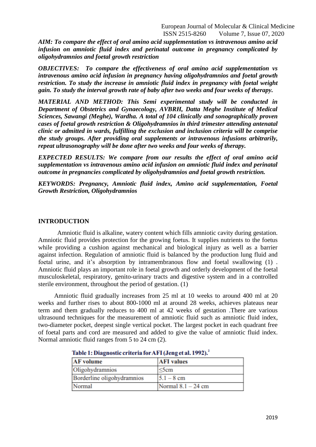*AIM: To compare the effect of oral amino acid supplementation vs intravenous amino acid infusion on amniotic fluid index and perinatal outcome in pregnancy complicated by oligohydramnios and foetal growth restriction*

*OBJECTIVES: To compare the effectiveness of oral amino acid supplementation vs intravenous amino acid infusion in pregnancy having oligohydramnios and foetal growth restriction. To study the increase in amniotic fluid index in pregnancy with foetal weight gain. To study the interval growth rate of baby after two weeks and four weeks of therapy.*

*MATERIAL AND METHOD: This Semi experimental study will be conducted in Department of Obstetrics and Gynaecology, AVBRH, Datta Meghe Institute of Medical Sciences, Sawangi (Meghe), Wardha. A total of 104 clinically and sonographically proven cases of foetal growth restriction & Oligohydramnios in third trimester attending antenatal clinic or admitted in wards, fulfilling the exclusion and inclusion criteria will be comprise the study groups. After providing oral supplements or intravenous infusions arbitrarily, repeat ultrasonography will be done after two weeks and four weeks of therapy.* 

*EXPECTED RESULTS: We compare from our results the effect of oral amino acid supplementation vs intravenous amino acid infusion on amniotic fluid index and perinatal outcome in pregnancies complicated by oligohydramnios and foetal growth restriction.*

*KEYWORDS: Pregnancy, Amniotic fluid index, Amino acid supplementation, Foetal Growth Restriction, Oligohydramnios*

#### **INTRODUCTION**

 Amniotic fluid is alkaline, watery content which fills amniotic cavity during gestation. Amniotic fluid provides protection for the growing foetus. It supplies nutrients to the foetus while providing a cushion against mechanical and biological injury as well as a barrier against infection. Regulation of amniotic fluid is balanced by the production lung fluid and foetal urine, and it's absorption by intramembranous flow and foetal swallowing (1) . Amniotic fluid plays an important role in foetal growth and orderly development of the foetal musculoskeletal, respiratory, genito-urinary tracts and digestive system and in a controlled sterile environment, throughout the period of gestation. (1)

 Amniotic fluid gradually increases from 25 ml at 10 weeks to around 400 ml at 20 weeks and further rises to about 800-1000 ml at around 28 weeks, achieves plateaus near term and them gradually reduces to 400 ml at 42 weeks of gestation .There are various ultrasound techniques for the measurement of amniotic fluid such as amniotic fluid index, two-diameter pocket, deepest single vertical pocket. The largest pocket in each quadrant free of foetal parts and cord are measured and added to give the value of amniotic fluid index. Normal amniotic fluid ranges from 5 to 24 cm (2).

| <b>AF</b> volume           | <b>AFI</b> values    |
|----------------------------|----------------------|
| Oligohydramnios            | $\leq$ 5cm           |
| Borderline oligohydramnios | $ 5.1 - 8$ cm        |
| Normal                     | Normal $8.1 - 24$ cm |

#### Table 1: Diagnostic criteria for AFI (Jeng et al. 1992).<sup>2</sup>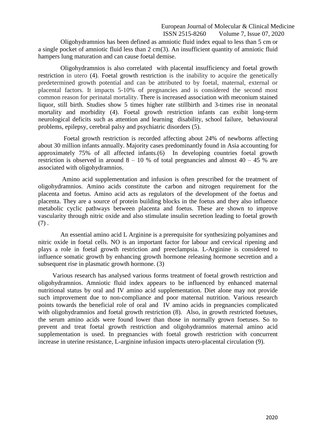Oligohydramnios has been defined as amniotic fluid index equal to less than 5 cm or a single pocket of amniotic fluid less than 2 cm(3). An insufficient quantity of amniotic fluid hampers lung maturation and can cause foetal demise.

 Oligohydramnios is also correlated with placental insufficiency and foetal growth restriction in utero (4). Foetal growth restriction is the inability to acquire the genetically predetermined growth potential and can be attributed to by foetal, maternal, external or placental factors. It impacts 5-10% of pregnancies and is considered the second most common reason for perinatal mortality. There is increased association with meconium stained liquor, still birth. Studies show 5 times higher rate stillbirth and 3-times rise in neonatal mortality and morbidity (4). Foetal growth restriction infants can exibit long-term neurological deficits such as attention and learning disability, school failure, behavioural problems, epilepsy, cerebral palsy and psychiatric disorders (5).

 Foetal growth restriction is recorded affecting about 24% of newborns affecting about 30 million infants annually. Majority cases predominantly found in Asia accounting for approximately 75% of all affected infants.(6) In developing countries foetal growth restriction is observed in around  $8 - 10$  % of total pregnancies and almost  $40 - 45$  % are associated with oligohydramnios.

 Amino acid supplementation and infusion is often prescribed for the treatment of oligohydramnios. Amino acids constitute the carbon and nitrogen requirement for the placenta and foetus. Amino acid acts as regulators of the development of the foetus and placenta. They are a source of protein building blocks in the foetus and they also influence metabolic cyclic pathways between placenta and foetus. These are shown to improve vascularity through nitric oxide and also stimulate insulin secretion leading to foetal growth  $(7).$ 

 An essential amino acid L Arginine is a prerequisite for synthesizing polyamines and nitric oxide in foetal cells. NO is an important factor for labour and cervical ripening and plays a role in foetal growth restriction and preeclampsia. L-Arginine is considered to influence somatic growth by enhancing growth hormone releasing hormone secretion and a subsequent rise in plasmatic growth hormone. (3)

 Various research has analysed various forms treatment of foetal growth restriction and oligohydramnios. Amniotic fluid index appears to be influenced by enhanced maternal nutritional status by oral and IV amino acid supplementation. Diet alone may not provide such improvement due to non-compliance and poor maternal nutrition. Various research points towards the beneficial role of oral and IV amino acids in pregnancies complicated with oligohydramnios and foetal growth restriction  $(8)$ . Also, in growth restricted foetuses, the serum amino acids were found lower than those in normally grown foetuses. So to prevent and treat foetal growth restriction and oligohydramnios maternal amino acid supplementation is used. In pregnancies with foetal growth restriction with concurrent increase in uterine resistance, L-arginine infusion impacts utero-placental circulation (9).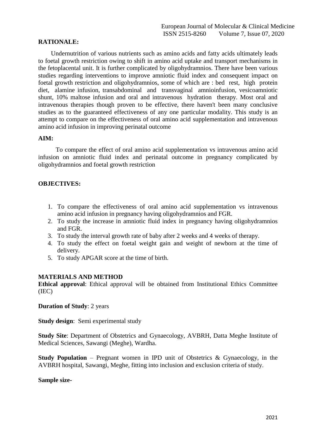## **RATIONALE:**

 Undernutrition of various nutrients such as amino acids and fatty acids ultimately leads to foetal growth restriction owing to shift in amino acid uptake and transport mechanisms in the fetoplacental unit. It is further complicated by oligohydramnios. There have been various studies regarding interventions to improve amniotic fluid index and consequent impact on foetal growth restriction and oligohydramnios, some of which are : bed rest, high protein diet, alamine infusion, transabdominal and transvaginal amnioinfusion, vesicoamniotic shunt, 10% maltose infusion and oral and intravenous hydration therapy. Most oral and intravenous therapies though proven to be effective, there haven't been many conclusive studies as to the guaranteed effectiveness of any one particular modality. This study is an attempt to compare on the effectiveness of oral amino acid supplementation and intravenous amino acid infusion in improving perinatal outcome

#### **AIM:**

 To compare the effect of oral amino acid supplementation vs intravenous amino acid infusion on amniotic fluid index and perinatal outcome in pregnancy complicated by oligohydramnios and foetal growth restriction

#### **OBJECTIVES:**

- 1. To compare the effectiveness of oral amino acid supplementation vs intravenous amino acid infusion in pregnancy having oligohydramnios and FGR.
- 2. To study the increase in amniotic fluid index in pregnancy having oligohydramnios and FGR.
- 3. To study the interval growth rate of baby after 2 weeks and 4 weeks of therapy.
- 4. To study the effect on foetal weight gain and weight of newborn at the time of delivery.
- 5. To study APGAR score at the time of birth.

#### **MATERIALS AND METHOD**

**Ethical approval**: Ethical approval will be obtained from Institutional Ethics Committee (IEC)

**Duration of Study**: 2 years

**Study design**: Semi experimental study

**Study Site**: Department of Obstetrics and Gynaecology, AVBRH, Datta Meghe Institute of Medical Sciences, Sawangi (Meghe), Wardha.

**Study Population** – Pregnant women in IPD unit of Obstetrics & Gynaecology, in the AVBRH hospital, Sawangi, Meghe, fitting into inclusion and exclusion criteria of study.

#### **Sample size-**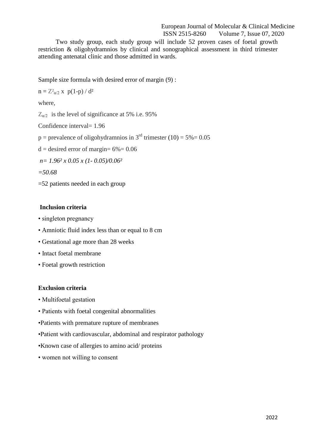Two study group, each study group will include 52 proven cases of foetal growth restriction & oligohydramnios by clinical and sonographical assessment in third trimester attending antenatal clinic and those admitted in wards.

Sample size formula with desired error of margin (9) :

 $n = Z^2_{\alpha/2}$  x  $p(1-p)/d^2$ 

where,

 $Z_{\alpha/2}$  is the level of significance at 5% i.e. 95%

Confidence interval= 1.96

 $p =$  prevalence of oligohydramnios in 3<sup>rd</sup> trimester (10) = 5% = 0.05

 $d =$  desired error of margin=  $6\% = 0.06$ 

*n= 1.96² x 0.05 x (1- 0.05)/0.06²*

*=50.68*

=52 patients needed in each group

## **Inclusion criteria**

- singleton pregnancy
- Amniotic fluid index less than or equal to 8 cm
- Gestational age more than 28 weeks
- Intact foetal membrane
- Foetal growth restriction

#### **Exclusion criteria**

- Multifoetal gestation
- Patients with foetal congenital abnormalities
- •Patients with premature rupture of membranes
- •Patient with cardiovascular, abdominal and respirator pathology
- •Known case of allergies to amino acid/ proteins
- women not willing to consent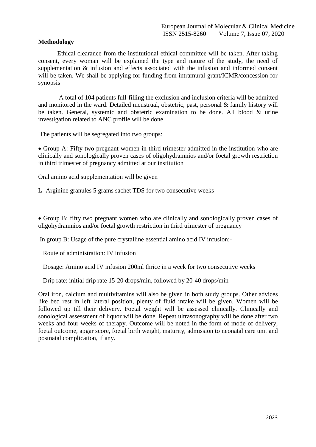### **Methodology**

 Ethical clearance from the institutional ethical committee will be taken. After taking consent, every woman will be explained the type and nature of the study, the need of supplementation  $\&$  infusion and effects associated with the infusion and informed consent will be taken. We shall be applying for funding from intramural grant/ICMR/concession for synopsis

 A total of 104 patients full-filling the exclusion and inclusion criteria will be admitted and monitored in the ward. Detailed menstrual, obstetric, past, personal & family history will be taken. General, systemic and obstetric examination to be done. All blood & urine investigation related to ANC profile will be done.

The patients will be segregated into two groups:

 Group A: Fifty two pregnant women in third trimester admitted in the institution who are clinically and sonologically proven cases of oligohydramnios and/or foetal growth restriction in third trimester of pregnancy admitted at our institution

Oral amino acid supplementation will be given

L- Arginine granules 5 grams sachet TDS for two consecutive weeks

 Group B: fifty two pregnant women who are clinically and sonologically proven cases of oligohydramnios and/or foetal growth restriction in third trimester of pregnancy

In group B: Usage of the pure crystalline essential amino acid IV infusion:-

Route of administration: IV infusion

Dosage: Amino acid IV infusion 200ml thrice in a week for two consecutive weeks

Drip rate: initial drip rate 15-20 drops/min, followed by 20-40 drops/min

Oral iron, calcium and multivitamins will also be given in both study groups. Other advices like bed rest in left lateral position, plenty of fluid intake will be given. Women will be followed up till their delivery. Foetal weight will be assessed clinically. Clinically and sonological assessment of liquor will be done. Repeat ultrasonography will be done after two weeks and four weeks of therapy. Outcome will be noted in the form of mode of delivery, foetal outcome, apgar score, foetal birth weight, maturity, admission to neonatal care unit and postnatal complication, if any.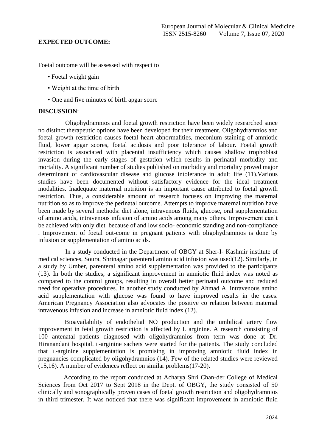#### **EXPECTED OUTCOME:**

Foetal outcome will be assessed with respect to

- Foetal weight gain
- Weight at the time of birth
- One and five minutes of birth apgar score

#### **DISCUSSION**:

 Oligohydramnios and foetal growth restriction have been widely researched since no distinct therapeutic options have been developed for their treatment. Oligohydramnios and foetal growth restriction causes foetal heart abnormalities, meconium staining of amniotic fluid, lower apgar scores, foetal acidosis and poor tolerance of labour. Foetal growth restriction is associated with placental insufficiency which causes shallow trophoblast invasion during the early stages of gestation which results in perinatal morbidity and mortality. A significant number of studies published on morbidity and mortality proved major determinant of cardiovascular disease and glucose intolerance in adult life (11).Various studies have been documented without satisfactory evidence for the ideal treatment modalities. Inadequate maternal nutrition is an important cause attributed to foetal growth restriction. Thus, a considerable amount of research focuses on improving the maternal nutrition so as to improve the perinatal outcome. Attempts to improve maternal nutrition have been made by several methods: diet alone, intravenous fluids, glucose, oral supplementation of amino acids, intravenous infusion of amino acids among many others. Improvement can't be achieved with only diet because of and low socio- economic standing and non-compliance . Improvement of foetal out-come in pregnant patients with oligohydramnios is done by infusion or supplementation of amino acids.

 In a study conducted in the Department of OBGY at Sher-I- Kashmir institute of medical sciences, Soura, Shrinagar parenteral amino acid infusion was used(12). Similarly, in a study by Umber, parenteral amino acid supplementation was provided to the participants (13). In both the studies, a significant improvement in amniotic fluid index was noted as compared to the control groups, resulting in overall better perinatal outcome and reduced need for operative procedures. In another study conducted by Ahmad A, intravenous amino acid supplementation with glucose was found to have improved results in the cases. American Pregnancy Association also advocates the positive co relation between maternal intravenous infusion and increase in amniotic fluid index (12).

 Bioavailability of endothelial NO production and the umbilical artery flow improvement in fetal growth restriction is affected by L arginine. A research consisting of 100 antenatal patients diagnosed with oligohydramnios from term was done at Dr. Hiranandani hospital. L-arginine sachets were started for the patients. The study concluded that L-arginine supplementation is promising in improving amniotic fluid index in pregnancies complicated by oligohydramnios (14). Few of the related studies were reviewed (15,16). A number of evidences reflect on similar problems(17-20).

 According to the report conducted at Acharya Shri Chan-der College of Medical Sciences from Oct 2017 to Sept 2018 in the Dept. of OBGY, the study consisted of 50 clinically and sonographically proven cases of foetal growth restriction and oligohydramnios in third trimester. It was noticed that there was significant improvement in amniotic fluid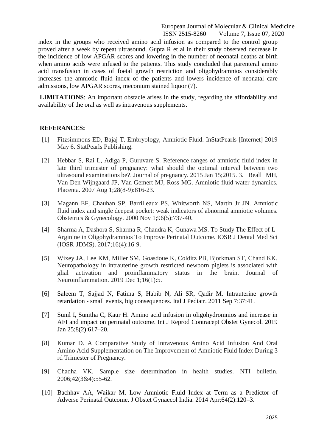index in the groups who received amino acid infusion as compared to the control group proved after a week by repeat ultrasound. Gupta R et al in their study observed decrease in the incidence of low APGAR scores and lowering in the number of neonatal deaths at birth when amino acids were infused to the patients. This study concluded that parenteral amino acid transfusion in cases of foetal growth restriction and oligohydramnios considerably increases the amniotic fluid index of the patients and lowers incidence of neonatal care admissions, low APGAR scores, meconium stained liquor (7).

**LIMITATIONS**: An important obstacle arises in the study, regarding the affordability and availability of the oral as well as intravenous supplements.

#### **REFERANCES:**

- [1] Fitzsimmons ED, Bajaj T. Embryology, Amniotic Fluid. InStatPearls [Internet] 2019 May 6. StatPearls Publishing.
- [2] Hebbar S, Rai L, Adiga P, Guruvare S. Reference ranges of amniotic fluid index in late third trimester of pregnancy: what should the optimal interval between two ultrasound examinations be?. Journal of pregnancy. 2015 Jan 15;2015. 3. Beall MH, Van Den Wijngaard JP, Van Gemert MJ, Ross MG. Amniotic fluid water dynamics. Placenta. 2007 Aug 1;28(8-9):816-23.
- [3] Magann EF, Chauhan SP, Barrilleaux PS, Whitworth NS, Martin Jr JN. Amniotic fluid index and single deepest pocket: weak indicators of abnormal amniotic volumes. Obstetrics & Gynecology. 2000 Nov 1;96(5):737-40.
- [4] Sharma A, Dashora S, Sharma R, Chandra K, Gunawa MS. To Study The Effect of L-Arginine in Oligohydramnios To Improve Perinatal Outcome. IOSR J Dental Med Sci (IOSR-JDMS). 2017;16(4):16-9.
- [5] Wixey JA, Lee KM, Miller SM, Goasdoue K, Colditz PB, Bjorkman ST, Chand KK. Neuropathology in intrauterine growth restricted newborn piglets is associated with glial activation and proinflammatory status in the brain. Journal of Neuroinflammation. 2019 Dec 1;16(1):5.
- [6] Saleem T, Sajjad N, Fatima S, Habib N, Ali SR, Qadir M. Intrauterine growth retardation - small events, big consequences. Ital J Pediatr. 2011 Sep 7;37:41.
- [7] Sunil I, Sunitha C, Kaur H. Amino acid infusion in oligohydromnios and increase in AFI and impact on perinatal outcome. Int J Reprod Contracept Obstet Gynecol. 2019 Jan 25;8(2):617–20.
- [8] Kumar D. A Comparative Study of Intravenous Amino Acid Infusion And Oral Amino Acid Supplementation on The Improvement of Amniotic Fluid Index During 3 rd Trimester of Pregnancy.
- [9] Chadha VK. Sample size determination in health studies. NTI bulletin. 2006;42(3&4):55-62.
- [10] Bachhav AA, Waikar M. Low Amniotic Fluid Index at Term as a Predictor of Adverse Perinatal Outcome. J Obstet Gynaecol India. 2014 Apr;64(2):120–3.